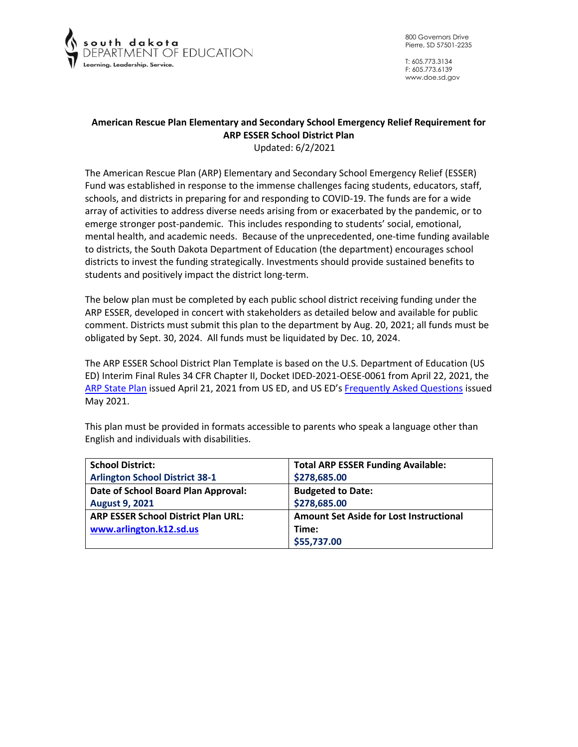

T: 605.773.3134 F: 605.773.6139 www.doe.sd.gov

# **American Rescue Plan Elementary and Secondary School Emergency Relief Requirement for ARP ESSER School District Plan**

Updated: 6/2/2021

The American Rescue Plan (ARP) Elementary and Secondary School Emergency Relief (ESSER) Fund was established in response to the immense challenges facing students, educators, staff, schools, and districts in preparing for and responding to COVID-19. The funds are for a wide array of activities to address diverse needs arising from or exacerbated by the pandemic, or to emerge stronger post-pandemic. This includes responding to students' social, emotional, mental health, and academic needs. Because of the unprecedented, one-time funding available to districts, the South Dakota Department of Education (the department) encourages school districts to invest the funding strategically. Investments should provide sustained benefits to students and positively impact the district long-term.

The below plan must be completed by each public school district receiving funding under the ARP ESSER, developed in concert with stakeholders as detailed below and available for public comment. Districts must submit this plan to the department by Aug. 20, 2021; all funds must be obligated by Sept. 30, 2024. All funds must be liquidated by Dec. 10, 2024.

The ARP ESSER School District Plan Template is based on the U.S. Department of Education (US ED) Interim Final Rules 34 CFR Chapter II, Docket IDED-2021-OESE-0061 from April 22, 2021, the [ARP State Plan](https://oese.ed.gov/files/2021/04/ARP-ESSER-State-Plan-Template-04-20-2021_130PM.pdf) issued April 21, 2021 from US ED, and US ED's [Frequently Asked Questions](https://oese.ed.gov/files/2021/05/ESSER.GEER_.FAQs_5.26.21_745AM_FINALb0cd6833f6f46e03ba2d97d30aff953260028045f9ef3b18ea602db4b32b1d99.pdf) issued May 2021.

| <b>School District:</b>                    | <b>Total ARP ESSER Funding Available:</b>      |
|--------------------------------------------|------------------------------------------------|
| <b>Arlington School District 38-1</b>      | \$278,685.00                                   |
| Date of School Board Plan Approval:        | <b>Budgeted to Date:</b>                       |
| <b>August 9, 2021</b>                      | \$278,685.00                                   |
| <b>ARP ESSER School District Plan URL:</b> | <b>Amount Set Aside for Lost Instructional</b> |
| www.arlington.k12.sd.us                    | Time:                                          |
|                                            | \$55,737.00                                    |

This plan must be provided in formats accessible to parents who speak a language other than English and individuals with disabilities.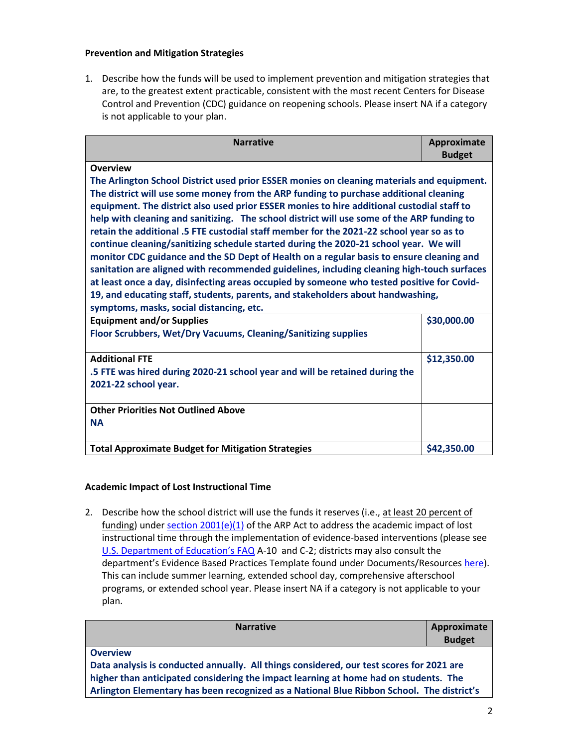### **Prevention and Mitigation Strategies**

1. Describe how the funds will be used to implement prevention and mitigation strategies that are, to the greatest extent practicable, consistent with the most recent Centers for Disease Control and Prevention (CDC) guidance on reopening schools. Please insert NA if a category is not applicable to your plan.

| <b>Narrative</b>                                                                                                                                                                                                                                                                                                                                                                                                                                                                                                                                                                                                                                                                                                                                                                                                                                                                                                                                                                                                                | Approximate |  |
|---------------------------------------------------------------------------------------------------------------------------------------------------------------------------------------------------------------------------------------------------------------------------------------------------------------------------------------------------------------------------------------------------------------------------------------------------------------------------------------------------------------------------------------------------------------------------------------------------------------------------------------------------------------------------------------------------------------------------------------------------------------------------------------------------------------------------------------------------------------------------------------------------------------------------------------------------------------------------------------------------------------------------------|-------------|--|
| <b>Budget</b><br><b>Overview</b><br>The Arlington School District used prior ESSER monies on cleaning materials and equipment.<br>The district will use some money from the ARP funding to purchase additional cleaning<br>equipment. The district also used prior ESSER monies to hire additional custodial staff to<br>help with cleaning and sanitizing. The school district will use some of the ARP funding to<br>retain the additional .5 FTE custodial staff member for the 2021-22 school year so as to<br>continue cleaning/sanitizing schedule started during the 2020-21 school year. We will<br>monitor CDC guidance and the SD Dept of Health on a regular basis to ensure cleaning and<br>sanitation are aligned with recommended guidelines, including cleaning high-touch surfaces<br>at least once a day, disinfecting areas occupied by someone who tested positive for Covid-<br>19, and educating staff, students, parents, and stakeholders about handwashing,<br>symptoms, masks, social distancing, etc. |             |  |
| <b>Equipment and/or Supplies</b><br>Floor Scrubbers, Wet/Dry Vacuums, Cleaning/Sanitizing supplies                                                                                                                                                                                                                                                                                                                                                                                                                                                                                                                                                                                                                                                                                                                                                                                                                                                                                                                              | \$30,000.00 |  |
| <b>Additional FTE</b><br>.5 FTE was hired during 2020-21 school year and will be retained during the<br>2021-22 school year.                                                                                                                                                                                                                                                                                                                                                                                                                                                                                                                                                                                                                                                                                                                                                                                                                                                                                                    | \$12,350.00 |  |
| <b>Other Priorities Not Outlined Above</b><br><b>NA</b>                                                                                                                                                                                                                                                                                                                                                                                                                                                                                                                                                                                                                                                                                                                                                                                                                                                                                                                                                                         |             |  |
| <b>Total Approximate Budget for Mitigation Strategies</b>                                                                                                                                                                                                                                                                                                                                                                                                                                                                                                                                                                                                                                                                                                                                                                                                                                                                                                                                                                       | \$42,350.00 |  |

# **Academic Impact of Lost Instructional Time**

2. Describe how the school district will use the funds it reserves (i.e., at least 20 percent of funding) under section  $2001(e)(1)$  of the ARP Act to address the academic impact of lost instructional time through the implementation of evidence-based interventions (please see [U.S. Department of Education's FAQ](https://oese.ed.gov/files/2021/05/ESSER.GEER_.FAQs_5.26.21_745AM_FINALb0cd6833f6f46e03ba2d97d30aff953260028045f9ef3b18ea602db4b32b1d99.pdf) A-10 and C-2; districts may also consult the department's Evidence Based Practices Template found under Documents/Resource[s here\)](https://doe.sd.gov/title/schoolimprovement.aspx). This can include summer learning, extended school day, comprehensive afterschool programs, or extended school year. Please insert NA if a category is not applicable to your plan.

| <b>Narrative</b>                                                                          | Approximate<br><b>Budget</b> |
|-------------------------------------------------------------------------------------------|------------------------------|
| <b>Overview</b>                                                                           |                              |
| Data analysis is conducted annually. All things considered, our test scores for 2021 are  |                              |
| higher than anticipated considering the impact learning at home had on students. The      |                              |
| Arlington Elementary has been recognized as a National Blue Ribbon School. The district's |                              |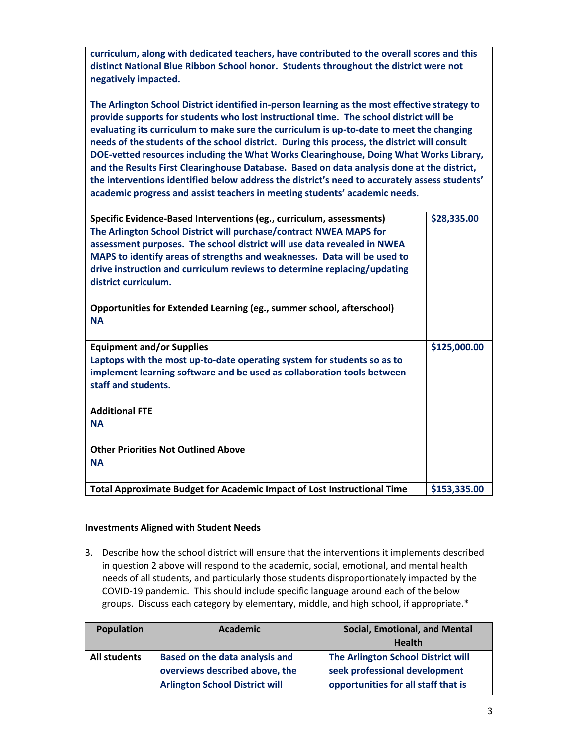**curriculum, along with dedicated teachers, have contributed to the overall scores and this distinct National Blue Ribbon School honor. Students throughout the district were not negatively impacted.**

**The Arlington School District identified in-person learning as the most effective strategy to provide supports for students who lost instructional time. The school district will be evaluating its curriculum to make sure the curriculum is up-to-date to meet the changing needs of the students of the school district. During this process, the district will consult DOE-vetted resources including the What Works Clearinghouse, Doing What Works Library, and the Results First Clearinghouse Database. Based on data analysis done at the district, the interventions identified below address the district's need to accurately assess students' academic progress and assist teachers in meeting students' academic needs.** 

| Specific Evidence-Based Interventions (eg., curriculum, assessments)<br>The Arlington School District will purchase/contract NWEA MAPS for<br>assessment purposes. The school district will use data revealed in NWEA<br>MAPS to identify areas of strengths and weaknesses. Data will be used to<br>drive instruction and curriculum reviews to determine replacing/updating<br>district curriculum. | \$28,335.00  |
|-------------------------------------------------------------------------------------------------------------------------------------------------------------------------------------------------------------------------------------------------------------------------------------------------------------------------------------------------------------------------------------------------------|--------------|
| Opportunities for Extended Learning (eg., summer school, afterschool)<br><b>NA</b>                                                                                                                                                                                                                                                                                                                    |              |
| <b>Equipment and/or Supplies</b>                                                                                                                                                                                                                                                                                                                                                                      | \$125,000.00 |
| Laptops with the most up-to-date operating system for students so as to                                                                                                                                                                                                                                                                                                                               |              |
| implement learning software and be used as collaboration tools between                                                                                                                                                                                                                                                                                                                                |              |
| staff and students.                                                                                                                                                                                                                                                                                                                                                                                   |              |
| <b>Additional FTE</b>                                                                                                                                                                                                                                                                                                                                                                                 |              |
| <b>NA</b>                                                                                                                                                                                                                                                                                                                                                                                             |              |
|                                                                                                                                                                                                                                                                                                                                                                                                       |              |
| <b>Other Priorities Not Outlined Above</b>                                                                                                                                                                                                                                                                                                                                                            |              |
| <b>NA</b>                                                                                                                                                                                                                                                                                                                                                                                             |              |
| Total Approximate Budget for Academic Impact of Lost Instructional Time                                                                                                                                                                                                                                                                                                                               | \$153,335.00 |

# **Investments Aligned with Student Needs**

3. Describe how the school district will ensure that the interventions it implements described in question 2 above will respond to the academic, social, emotional, and mental health needs of all students, and particularly those students disproportionately impacted by the COVID-19 pandemic. This should include specific language around each of the below groups. Discuss each category by elementary, middle, and high school, if appropriate.\*

| <b>Population</b> | <b>Academic</b>                                                                                           | <b>Social, Emotional, and Mental</b>                                                                       |
|-------------------|-----------------------------------------------------------------------------------------------------------|------------------------------------------------------------------------------------------------------------|
|                   |                                                                                                           | <b>Health</b>                                                                                              |
| All students      | Based on the data analysis and<br>overviews described above, the<br><b>Arlington School District will</b> | The Arlington School District will<br>seek professional development<br>opportunities for all staff that is |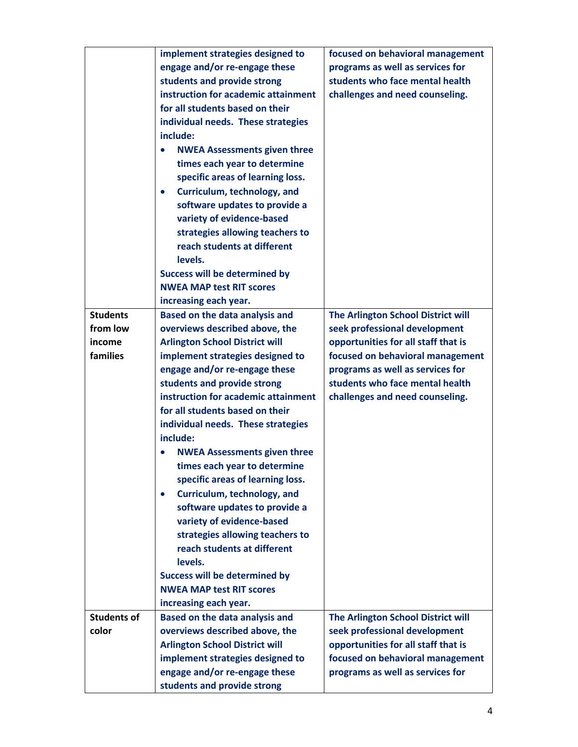|                    | implement strategies designed to         | focused on behavioral management    |
|--------------------|------------------------------------------|-------------------------------------|
|                    | engage and/or re-engage these            | programs as well as services for    |
|                    | students and provide strong              | students who face mental health     |
|                    | instruction for academic attainment      | challenges and need counseling.     |
|                    | for all students based on their          |                                     |
|                    | individual needs. These strategies       |                                     |
|                    | include:                                 |                                     |
|                    | <b>NWEA Assessments given three</b>      |                                     |
|                    | times each year to determine             |                                     |
|                    | specific areas of learning loss.         |                                     |
|                    | Curriculum, technology, and<br>$\bullet$ |                                     |
|                    | software updates to provide a            |                                     |
|                    | variety of evidence-based                |                                     |
|                    | strategies allowing teachers to          |                                     |
|                    | reach students at different              |                                     |
|                    | levels.                                  |                                     |
|                    | <b>Success will be determined by</b>     |                                     |
|                    | <b>NWEA MAP test RIT scores</b>          |                                     |
|                    | increasing each year.                    |                                     |
| <b>Students</b>    | Based on the data analysis and           | The Arlington School District will  |
| from low           | overviews described above, the           | seek professional development       |
| income             | <b>Arlington School District will</b>    | opportunities for all staff that is |
| families           | implement strategies designed to         | focused on behavioral management    |
|                    | engage and/or re-engage these            | programs as well as services for    |
|                    | students and provide strong              | students who face mental health     |
|                    | instruction for academic attainment      | challenges and need counseling.     |
|                    | for all students based on their          |                                     |
|                    | individual needs. These strategies       |                                     |
|                    | include:                                 |                                     |
|                    | <b>NWEA Assessments given three</b>      |                                     |
|                    | times each year to determine             |                                     |
|                    | specific areas of learning loss.         |                                     |
|                    | Curriculum, technology, and<br>$\bullet$ |                                     |
|                    | software updates to provide a            |                                     |
|                    | variety of evidence-based                |                                     |
|                    | strategies allowing teachers to          |                                     |
|                    | reach students at different              |                                     |
|                    | levels.                                  |                                     |
|                    | <b>Success will be determined by</b>     |                                     |
|                    | <b>NWEA MAP test RIT scores</b>          |                                     |
|                    | increasing each year.                    |                                     |
| <b>Students of</b> | Based on the data analysis and           | The Arlington School District will  |
| color              | overviews described above, the           | seek professional development       |
|                    | <b>Arlington School District will</b>    | opportunities for all staff that is |
|                    | implement strategies designed to         | focused on behavioral management    |
|                    | engage and/or re-engage these            | programs as well as services for    |
|                    | students and provide strong              |                                     |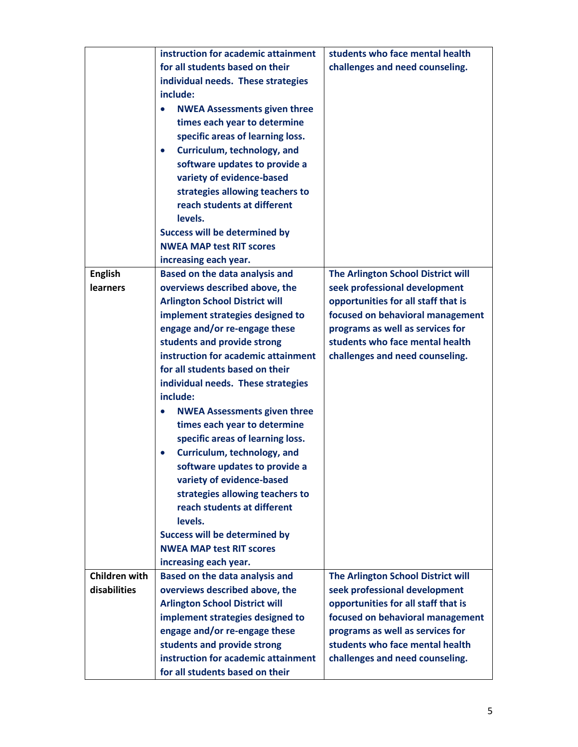|                 | instruction for academic attainment      | students who face mental health     |
|-----------------|------------------------------------------|-------------------------------------|
|                 | for all students based on their          | challenges and need counseling.     |
|                 | individual needs. These strategies       |                                     |
|                 | include:                                 |                                     |
|                 | <b>NWEA Assessments given three</b>      |                                     |
|                 | times each year to determine             |                                     |
|                 | specific areas of learning loss.         |                                     |
|                 | Curriculum, technology, and<br>$\bullet$ |                                     |
|                 | software updates to provide a            |                                     |
|                 | variety of evidence-based                |                                     |
|                 | strategies allowing teachers to          |                                     |
|                 | reach students at different              |                                     |
|                 | levels.                                  |                                     |
|                 | <b>Success will be determined by</b>     |                                     |
|                 | <b>NWEA MAP test RIT scores</b>          |                                     |
|                 | increasing each year.                    |                                     |
| <b>English</b>  | <b>Based on the data analysis and</b>    | The Arlington School District will  |
| <b>learners</b> | overviews described above, the           | seek professional development       |
|                 | <b>Arlington School District will</b>    | opportunities for all staff that is |
|                 | implement strategies designed to         | focused on behavioral management    |
|                 | engage and/or re-engage these            | programs as well as services for    |
|                 | students and provide strong              | students who face mental health     |
|                 | instruction for academic attainment      | challenges and need counseling.     |
|                 | for all students based on their          |                                     |
|                 | individual needs. These strategies       |                                     |
|                 | include:                                 |                                     |
|                 | <b>NWEA Assessments given three</b>      |                                     |
|                 | times each year to determine             |                                     |
|                 | specific areas of learning loss.         |                                     |
|                 | Curriculum, technology, and              |                                     |
|                 | software updates to provide a            |                                     |
|                 | variety of evidence-based                |                                     |
|                 | strategies allowing teachers to          |                                     |
|                 | reach students at different              |                                     |
|                 | levels.                                  |                                     |
|                 | <b>Success will be determined by</b>     |                                     |
|                 | <b>NWEA MAP test RIT scores</b>          |                                     |
|                 | increasing each year.                    |                                     |
| Children with   | Based on the data analysis and           | The Arlington School District will  |
| disabilities    | overviews described above, the           | seek professional development       |
|                 | <b>Arlington School District will</b>    | opportunities for all staff that is |
|                 | implement strategies designed to         | focused on behavioral management    |
|                 | engage and/or re-engage these            | programs as well as services for    |
|                 | students and provide strong              | students who face mental health     |
|                 | instruction for academic attainment      | challenges and need counseling.     |
|                 | for all students based on their          |                                     |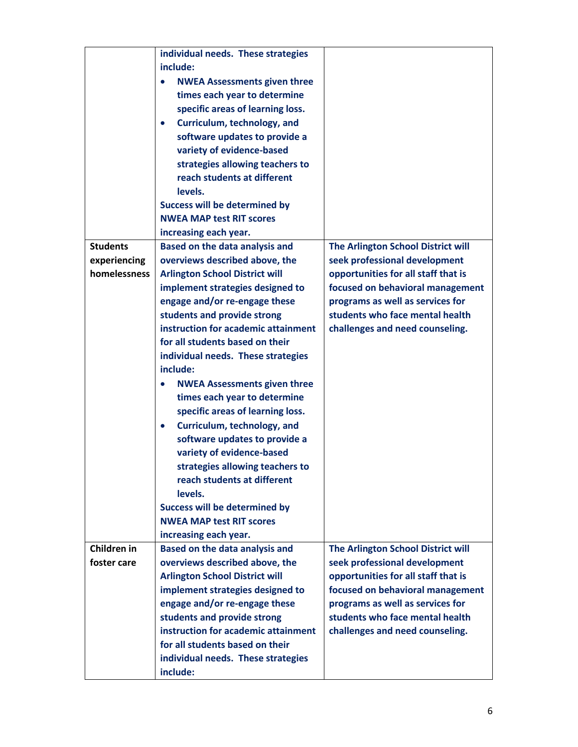|                 | individual needs. These strategies               |                                     |
|-----------------|--------------------------------------------------|-------------------------------------|
|                 | include:                                         |                                     |
|                 | <b>NWEA Assessments given three</b><br>$\bullet$ |                                     |
|                 | times each year to determine                     |                                     |
|                 |                                                  |                                     |
|                 | specific areas of learning loss.                 |                                     |
|                 | Curriculum, technology, and<br>$\bullet$         |                                     |
|                 | software updates to provide a                    |                                     |
|                 | variety of evidence-based                        |                                     |
|                 | strategies allowing teachers to                  |                                     |
|                 | reach students at different                      |                                     |
|                 | levels.                                          |                                     |
|                 | <b>Success will be determined by</b>             |                                     |
|                 | <b>NWEA MAP test RIT scores</b>                  |                                     |
|                 | increasing each year.                            |                                     |
| <b>Students</b> | Based on the data analysis and                   | The Arlington School District will  |
| experiencing    | overviews described above, the                   | seek professional development       |
| homelessness    | <b>Arlington School District will</b>            | opportunities for all staff that is |
|                 | implement strategies designed to                 | focused on behavioral management    |
|                 | engage and/or re-engage these                    | programs as well as services for    |
|                 | students and provide strong                      | students who face mental health     |
|                 | instruction for academic attainment              | challenges and need counseling.     |
|                 | for all students based on their                  |                                     |
|                 | individual needs. These strategies               |                                     |
|                 | include:                                         |                                     |
|                 | <b>NWEA Assessments given three</b><br>$\bullet$ |                                     |
|                 | times each year to determine                     |                                     |
|                 | specific areas of learning loss.                 |                                     |
|                 | Curriculum, technology, and<br>$\bullet$         |                                     |
|                 | software updates to provide a                    |                                     |
|                 | variety of evidence-based                        |                                     |
|                 |                                                  |                                     |
|                 | strategies allowing teachers to                  |                                     |
|                 | reach students at different                      |                                     |
|                 | levels.                                          |                                     |
|                 | <b>Success will be determined by</b>             |                                     |
|                 | <b>NWEA MAP test RIT scores</b>                  |                                     |
|                 | increasing each year.                            |                                     |
| Children in     | Based on the data analysis and                   | The Arlington School District will  |
| foster care     | overviews described above, the                   | seek professional development       |
|                 | <b>Arlington School District will</b>            | opportunities for all staff that is |
|                 | implement strategies designed to                 | focused on behavioral management    |
|                 | engage and/or re-engage these                    | programs as well as services for    |
|                 | students and provide strong                      | students who face mental health     |
|                 | instruction for academic attainment              | challenges and need counseling.     |
|                 | for all students based on their                  |                                     |
|                 | individual needs. These strategies               |                                     |
|                 | include:                                         |                                     |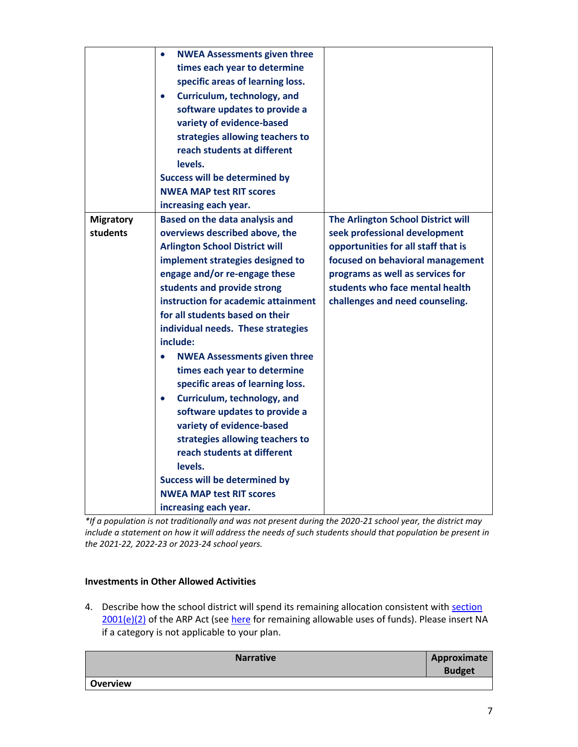| <b>NWEA Assessments given three</b><br>$\bullet$                                         |                                  |
|------------------------------------------------------------------------------------------|----------------------------------|
| times each year to determine                                                             |                                  |
| specific areas of learning loss.                                                         |                                  |
| Curriculum, technology, and                                                              |                                  |
| software updates to provide a                                                            |                                  |
| variety of evidence-based                                                                |                                  |
| strategies allowing teachers to                                                          |                                  |
| reach students at different                                                              |                                  |
| levels.                                                                                  |                                  |
| <b>Success will be determined by</b>                                                     |                                  |
| <b>NWEA MAP test RIT scores</b>                                                          |                                  |
| increasing each year.                                                                    |                                  |
| The Arlington School District will<br><b>Migratory</b><br>Based on the data analysis and |                                  |
| students<br>overviews described above, the<br>seek professional development              |                                  |
| <b>Arlington School District will</b><br>opportunities for all staff that is             |                                  |
| implement strategies designed to                                                         | focused on behavioral management |
| engage and/or re-engage these<br>programs as well as services for                        |                                  |
| students who face mental health<br>students and provide strong                           |                                  |
| instruction for academic attainment<br>challenges and need counseling.                   |                                  |
| for all students based on their                                                          |                                  |
| individual needs. These strategies                                                       |                                  |
| include:                                                                                 |                                  |
| <b>NWEA Assessments given three</b><br>$\bullet$                                         |                                  |
| times each year to determine                                                             |                                  |
| specific areas of learning loss.                                                         |                                  |
| Curriculum, technology, and<br>$\bullet$                                                 |                                  |
| software updates to provide a                                                            |                                  |
| variety of evidence-based                                                                |                                  |
| strategies allowing teachers to                                                          |                                  |
| reach students at different                                                              |                                  |
| levels.                                                                                  |                                  |
| <b>Success will be determined by</b>                                                     |                                  |
| <b>NWEA MAP test RIT scores</b>                                                          |                                  |
| increasing each year.                                                                    |                                  |

*\*If a population is not traditionally and was not present during the 2020-21 school year, the district may include a statement on how it will address the needs of such students should that population be present in the 2021-22, 2022-23 or 2023-24 school years.*

# **Investments in Other Allowed Activities**

4. Describe how the school district will spend its remaining allocation consistent with section [2001\(e\)\(2\)](https://www.congress.gov/bill/117th-congress/house-bill/1319/text#H1C1CA7B872894DE0B325C5BB06991BB8) of the ARP Act (see [here](https://www.congress.gov/bill/117th-congress/house-bill/1319/text#H1C1CA7B872894DE0B325C5BB06991BB8) for remaining allowable uses of funds). Please insert NA if a category is not applicable to your plan.

| <b>Narrative</b> | Approximate<br><b>Budget</b> |
|------------------|------------------------------|
| <b>Overview</b>  |                              |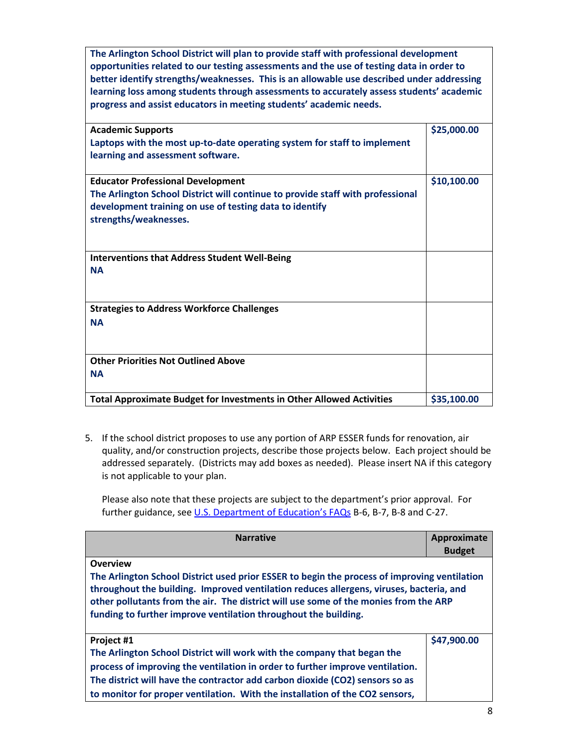**The Arlington School District will plan to provide staff with professional development opportunities related to our testing assessments and the use of testing data in order to better identify strengths/weaknesses. This is an allowable use described under addressing learning loss among students through assessments to accurately assess students' academic progress and assist educators in meeting students' academic needs.**

| <b>Academic Supports</b>                                                       | \$25,000.00 |
|--------------------------------------------------------------------------------|-------------|
| Laptops with the most up-to-date operating system for staff to implement       |             |
| learning and assessment software.                                              |             |
|                                                                                |             |
| <b>Educator Professional Development</b>                                       | \$10,100.00 |
| The Arlington School District will continue to provide staff with professional |             |
| development training on use of testing data to identify                        |             |
| strengths/weaknesses.                                                          |             |
|                                                                                |             |
|                                                                                |             |
| <b>Interventions that Address Student Well-Being</b>                           |             |
| <b>NA</b>                                                                      |             |
|                                                                                |             |
|                                                                                |             |
| <b>Strategies to Address Workforce Challenges</b>                              |             |
| <b>NA</b>                                                                      |             |
|                                                                                |             |
|                                                                                |             |
| <b>Other Priorities Not Outlined Above</b>                                     |             |
| <b>NA</b>                                                                      |             |
|                                                                                |             |
| <b>Total Approximate Budget for Investments in Other Allowed Activities</b>    | \$35,100.00 |
|                                                                                |             |

5. If the school district proposes to use any portion of ARP ESSER funds for renovation, air quality, and/or construction projects, describe those projects below. Each project should be addressed separately. (Districts may add boxes as needed). Please insert NA if this category is not applicable to your plan.

Please also note that these projects are subject to the department's prior approval. For further guidance, see [U.S. Department of Education's FAQs](https://oese.ed.gov/files/2021/05/ESSER.GEER_.FAQs_5.26.21_745AM_FINALb0cd6833f6f46e03ba2d97d30aff953260028045f9ef3b18ea602db4b32b1d99.pdf) B-6, B-7, B-8 and C-27.

| <b>Narrative</b>                                                                             | Approximate   |  |
|----------------------------------------------------------------------------------------------|---------------|--|
|                                                                                              | <b>Budget</b> |  |
| Overview                                                                                     |               |  |
| The Arlington School District used prior ESSER to begin the process of improving ventilation |               |  |
| throughout the building. Improved ventilation reduces allergens, viruses, bacteria, and      |               |  |
| other pollutants from the air. The district will use some of the monies from the ARP         |               |  |
| funding to further improve ventilation throughout the building.                              |               |  |
|                                                                                              |               |  |
| Project #1                                                                                   | \$47,900.00   |  |
| The Arlington School District will work with the company that began the                      |               |  |
| process of improving the ventilation in order to further improve ventilation.                |               |  |
| The district will have the contractor add carbon dioxide (CO2) sensors so as                 |               |  |
| to monitor for proper ventilation. With the installation of the CO2 sensors,                 |               |  |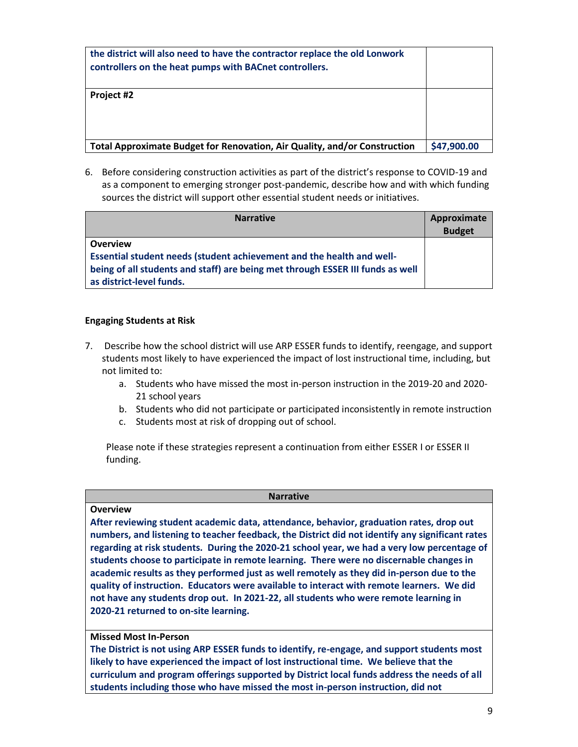| the district will also need to have the contractor replace the old Lonwork<br>controllers on the heat pumps with BACnet controllers. |             |
|--------------------------------------------------------------------------------------------------------------------------------------|-------------|
| Project #2                                                                                                                           |             |
| Total Approximate Budget for Renovation, Air Quality, and/or Construction                                                            | \$47,900.00 |

6. Before considering construction activities as part of the district's response to COVID-19 and as a component to emerging stronger post-pandemic, describe how and with which funding sources the district will support other essential student needs or initiatives.

| <b>Narrative</b>                                                               | Approximate<br><b>Budget</b> |
|--------------------------------------------------------------------------------|------------------------------|
| <b>Overview</b>                                                                |                              |
| Essential student needs (student achievement and the health and well-          |                              |
| being of all students and staff) are being met through ESSER III funds as well |                              |
| as district-level funds.                                                       |                              |

# **Engaging Students at Risk**

- 7. Describe how the school district will use ARP ESSER funds to identify, reengage, and support students most likely to have experienced the impact of lost instructional time, including, but not limited to:
	- a. Students who have missed the most in-person instruction in the 2019-20 and 2020- 21 school years
	- b. Students who did not participate or participated inconsistently in remote instruction
	- c. Students most at risk of dropping out of school.

Please note if these strategies represent a continuation from either ESSER I or ESSER II funding.

#### **Narrative**

#### **Overview**

**After reviewing student academic data, attendance, behavior, graduation rates, drop out numbers, and listening to teacher feedback, the District did not identify any significant rates regarding at risk students. During the 2020-21 school year, we had a very low percentage of students choose to participate in remote learning. There were no discernable changes in academic results as they performed just as well remotely as they did in-person due to the quality of instruction. Educators were available to interact with remote learners. We did not have any students drop out. In 2021-22, all students who were remote learning in 2020-21 returned to on-site learning.**

#### **Missed Most In-Person**

**The District is not using ARP ESSER funds to identify, re-engage, and support students most likely to have experienced the impact of lost instructional time. We believe that the curriculum and program offerings supported by District local funds address the needs of all students including those who have missed the most in-person instruction, did not**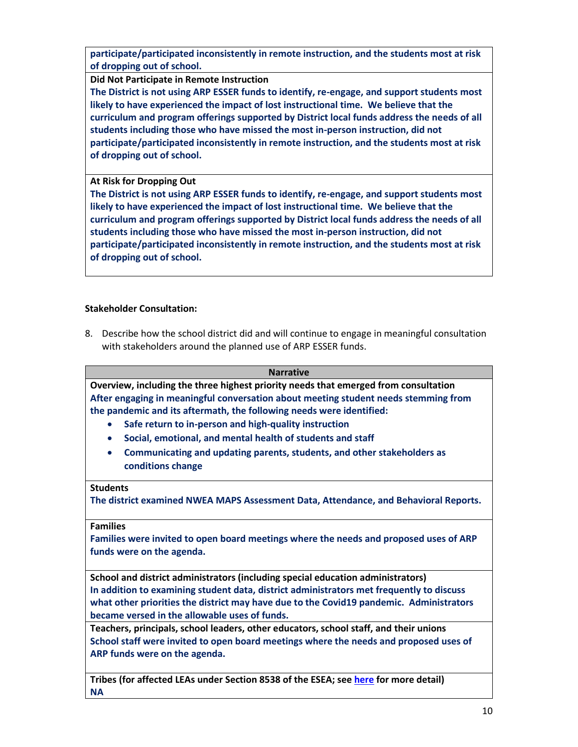**participate/participated inconsistently in remote instruction, and the students most at risk of dropping out of school.**

**Did Not Participate in Remote Instruction**

**The District is not using ARP ESSER funds to identify, re-engage, and support students most likely to have experienced the impact of lost instructional time. We believe that the curriculum and program offerings supported by District local funds address the needs of all students including those who have missed the most in-person instruction, did not participate/participated inconsistently in remote instruction, and the students most at risk of dropping out of school.**

# **At Risk for Dropping Out**

**The District is not using ARP ESSER funds to identify, re-engage, and support students most likely to have experienced the impact of lost instructional time. We believe that the curriculum and program offerings supported by District local funds address the needs of all students including those who have missed the most in-person instruction, did not participate/participated inconsistently in remote instruction, and the students most at risk of dropping out of school.**

# **Stakeholder Consultation:**

8. Describe how the school district did and will continue to engage in meaningful consultation with stakeholders around the planned use of ARP ESSER funds.

| Narrative |
|-----------|
|-----------|

**Overview, including the three highest priority needs that emerged from consultation After engaging in meaningful conversation about meeting student needs stemming from the pandemic and its aftermath, the following needs were identified:**

- **Safe return to in-person and high-quality instruction**
- **Social, emotional, and mental health of students and staff**
- **Communicating and updating parents, students, and other stakeholders as conditions change**

#### **Students**

**The district examined NWEA MAPS Assessment Data, Attendance, and Behavioral Reports.**

#### **Families**

**Families were invited to open board meetings where the needs and proposed uses of ARP funds were on the agenda.**

**School and district administrators (including special education administrators) In addition to examining student data, district administrators met frequently to discuss what other priorities the district may have due to the Covid19 pandemic. Administrators became versed in the allowable uses of funds.** 

**Teachers, principals, school leaders, other educators, school staff, and their unions School staff were invited to open board meetings where the needs and proposed uses of ARP funds were on the agenda.**

**Tribes (for affected LEAs under Section 8538 of the ESEA; see [here](https://doe.sd.gov/title/documents/Tribal-Cons-Guid-2020.pdf) for more detail) NA**